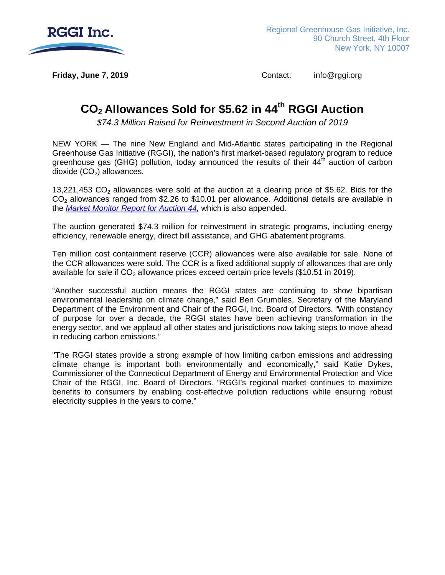

**Friday, June 7, 2019 Contact:** info@rggi.org

# **CO2 Allowances Sold for \$5.62 in 44th RGGI Auction**

*\$74.3 Million Raised for Reinvestment in Second Auction of 2019* 

NEW YORK — The nine New England and Mid-Atlantic states participating in the Regional Greenhouse Gas Initiative (RGGI), the nation's first market-based regulatory program to reduce greenhouse gas (GHG) pollution, today announced the results of their  $44<sup>th</sup>$  auction of carbon dioxide  $(CO<sub>2</sub>)$  allowances.

13,221,453  $CO<sub>2</sub>$  allowances were sold at the auction at a clearing price of \$5.62. Bids for the  $CO<sub>2</sub>$  allowances ranged from \$2.26 to \$10.01 per allowance. Additional details are available in the *[Market Monitor Report for Auction 44,](https://www.rggi.org/sites/default/files/Uploads/Auction-Materials/44/Auction_44_Market_Monitor_Report.pdf)* which is also appended.

The auction generated \$74.3 million for reinvestment in strategic programs, including energy efficiency, renewable energy, direct bill assistance, and GHG abatement programs.

Ten million cost containment reserve (CCR) allowances were also available for sale. None of the CCR allowances were sold. The CCR is a fixed additional supply of allowances that are only available for sale if  $CO<sub>2</sub>$  allowance prices exceed certain price levels (\$10.51 in 2019).

"Another successful auction means the RGGI states are continuing to show bipartisan environmental leadership on climate change," said Ben Grumbles, Secretary of the Maryland Department of the Environment and Chair of the RGGI, Inc. Board of Directors. "With constancy of purpose for over a decade, the RGGI states have been achieving transformation in the energy sector, and we applaud all other states and jurisdictions now taking steps to move ahead in reducing carbon emissions."

"The RGGI states provide a strong example of how limiting carbon emissions and addressing climate change is important both environmentally and economically," said Katie Dykes, Commissioner of the Connecticut Department of Energy and Environmental Protection and Vice Chair of the RGGI, Inc. Board of Directors. "RGGI's regional market continues to maximize benefits to consumers by enabling cost-effective pollution reductions while ensuring robust electricity supplies in the years to come."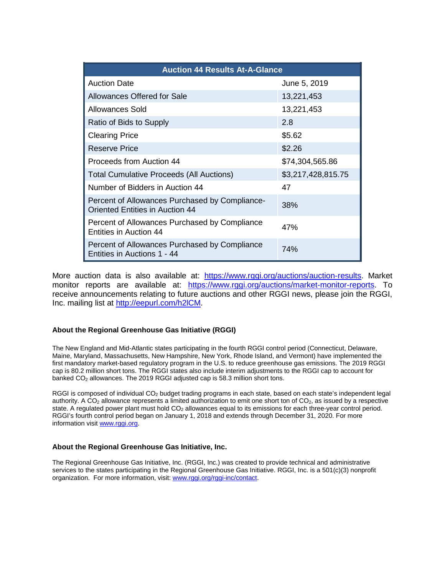| <b>Auction 44 Results At-A-Glance</b>                                                    |                    |  |
|------------------------------------------------------------------------------------------|--------------------|--|
| <b>Auction Date</b>                                                                      | June 5, 2019       |  |
| Allowances Offered for Sale                                                              | 13,221,453         |  |
| Allowances Sold                                                                          | 13,221,453         |  |
| Ratio of Bids to Supply                                                                  | 2.8                |  |
| <b>Clearing Price</b>                                                                    | \$5.62             |  |
| Reserve Price                                                                            | \$2.26             |  |
| Proceeds from Auction 44                                                                 | \$74,304,565.86    |  |
| <b>Total Cumulative Proceeds (All Auctions)</b>                                          | \$3,217,428,815.75 |  |
| Number of Bidders in Auction 44                                                          | 47                 |  |
| Percent of Allowances Purchased by Compliance-<br><b>Oriented Entities in Auction 44</b> | 38%                |  |
| Percent of Allowances Purchased by Compliance<br>Entities in Auction 44                  | 47%                |  |
| Percent of Allowances Purchased by Compliance<br>Entities in Auctions 1 - 44             | 74%                |  |

More auction data is also available at: [https://www.rggi.org/auctions/auction-results.](https://www.rggi.org/auctions/auction-results) Market monitor reports are available at: [https://www.rggi.org/auctions/market-monitor-reports.](https://www.rggi.org/auctions/market-monitor-reports) To receive announcements relating to future auctions and other RGGI news, please join the RGGI, Inc. mailing list at [http://eepurl.com/h2lCM.](http://eepurl.com/h2lCM)

#### **About the Regional Greenhouse Gas Initiative (RGGI)**

The New England and Mid-Atlantic states participating in the fourth RGGI control period (Connecticut, Delaware, Maine, Maryland, Massachusetts, New Hampshire, New York, Rhode Island, and Vermont) have implemented the first mandatory market-based regulatory program in the U.S. to reduce greenhouse gas emissions. The 2019 RGGI cap is 80.2 million short tons. The RGGI states also include interim adjustments to the RGGI cap to account for banked CO<sub>2</sub> allowances. The 2019 RGGI adjusted cap is 58.3 million short tons.

RGGI is composed of individual CO<sub>2</sub> budget trading programs in each state, based on each state's independent legal authority. A CO<sub>2</sub> allowance represents a limited authorization to emit one short ton of  $CO<sub>2</sub>$ , as issued by a respective state. A regulated power plant must hold  $CO<sub>2</sub>$  allowances equal to its emissions for each three-year control period. RGGI's fourth control period began on January 1, 2018 and extends through December 31, 2020. For more information visit [www.rggi.org.](http://www.rggi.org/)

#### **About the Regional Greenhouse Gas Initiative, Inc.**

The Regional Greenhouse Gas Initiative, Inc. (RGGI, Inc.) was created to provide technical and administrative services to the states participating in the Regional Greenhouse Gas Initiative. RGGI, Inc. is a 501(c)(3) nonprofit organization. For more information, visit[: www.rggi.org/rggi-inc/contact.](http://www.rggi.org/rggi-inc/contact)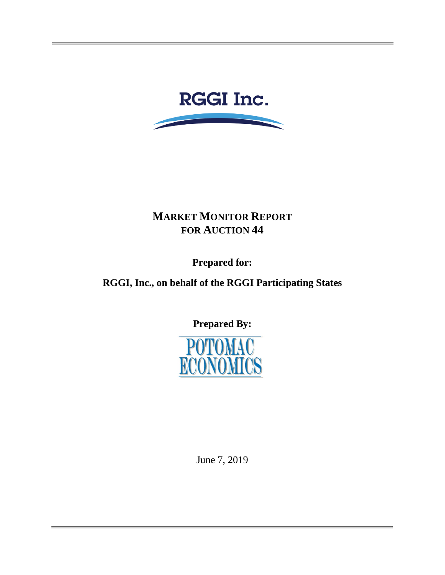

# **MARKET MONITOR REPORT FOR AUCTION 44**

**Prepared for:** 

**RGGI, Inc., on behalf of the RGGI Participating States**

**Prepared By:**



June 7, 2019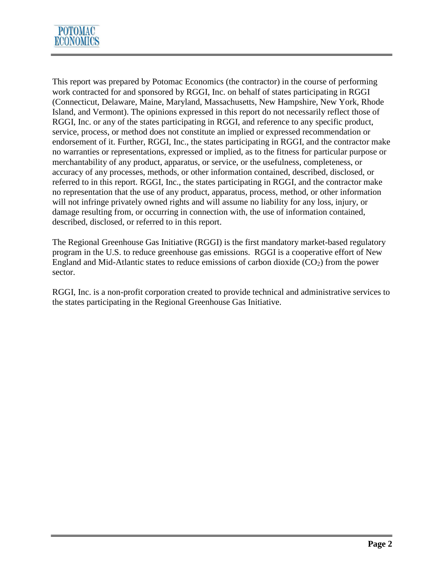

This report was prepared by Potomac Economics (the contractor) in the course of performing work contracted for and sponsored by RGGI, Inc. on behalf of states participating in RGGI (Connecticut, Delaware, Maine, Maryland, Massachusetts, New Hampshire, New York, Rhode Island, and Vermont). The opinions expressed in this report do not necessarily reflect those of RGGI, Inc. or any of the states participating in RGGI, and reference to any specific product, service, process, or method does not constitute an implied or expressed recommendation or endorsement of it. Further, RGGI, Inc., the states participating in RGGI, and the contractor make no warranties or representations, expressed or implied, as to the fitness for particular purpose or merchantability of any product, apparatus, or service, or the usefulness, completeness, or accuracy of any processes, methods, or other information contained, described, disclosed, or referred to in this report. RGGI, Inc., the states participating in RGGI, and the contractor make no representation that the use of any product, apparatus, process, method, or other information will not infringe privately owned rights and will assume no liability for any loss, injury, or damage resulting from, or occurring in connection with, the use of information contained, described, disclosed, or referred to in this report.

The Regional Greenhouse Gas Initiative (RGGI) is the first mandatory market-based regulatory program in the U.S. to reduce greenhouse gas emissions. RGGI is a cooperative effort of New England and Mid-Atlantic states to reduce emissions of carbon dioxide  $(CO<sub>2</sub>)$  from the power sector.

RGGI, Inc. is a non-profit corporation created to provide technical and administrative services to the states participating in the Regional Greenhouse Gas Initiative.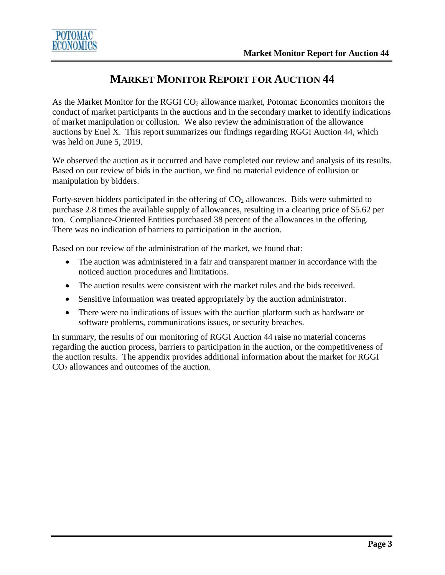

# **MARKET MONITOR REPORT FOR AUCTION 44**

As the Market Monitor for the RGGI CO<sub>2</sub> allowance market, Potomac Economics monitors the conduct of market participants in the auctions and in the secondary market to identify indications of market manipulation or collusion. We also review the administration of the allowance auctions by Enel X. This report summarizes our findings regarding RGGI Auction 44, which was held on June 5, 2019.

We observed the auction as it occurred and have completed our review and analysis of its results. Based on our review of bids in the auction, we find no material evidence of collusion or manipulation by bidders.

Forty-seven bidders participated in the offering of  $CO<sub>2</sub>$  allowances. Bids were submitted to purchase 2.8 times the available supply of allowances, resulting in a clearing price of \$5.62 per ton. Compliance-Oriented Entities purchased 38 percent of the allowances in the offering. There was no indication of barriers to participation in the auction.

Based on our review of the administration of the market, we found that:

- The auction was administered in a fair and transparent manner in accordance with the noticed auction procedures and limitations.
- The auction results were consistent with the market rules and the bids received.
- Sensitive information was treated appropriately by the auction administrator.
- There were no indications of issues with the auction platform such as hardware or software problems, communications issues, or security breaches.

In summary, the results of our monitoring of RGGI Auction 44 raise no material concerns regarding the auction process, barriers to participation in the auction, or the competitiveness of the auction results. The appendix provides additional information about the market for RGGI  $CO<sub>2</sub>$  allowances and outcomes of the auction.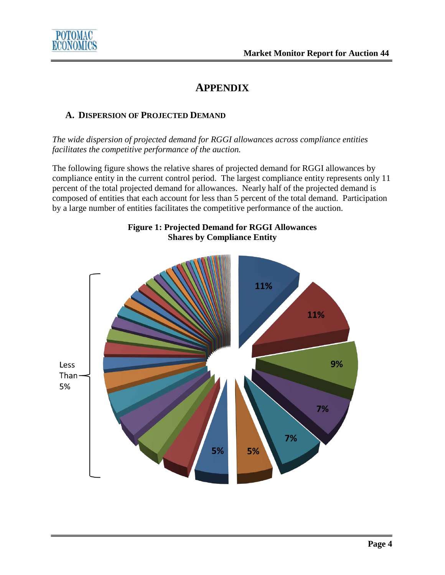

# **APPENDIX**

### **A. DISPERSION OF PROJECTED DEMAND**

*The wide dispersion of projected demand for RGGI allowances across compliance entities facilitates the competitive performance of the auction.*

The following figure shows the relative shares of projected demand for RGGI allowances by compliance entity in the current control period. The largest compliance entity represents only 11 percent of the total projected demand for allowances. Nearly half of the projected demand is composed of entities that each account for less than 5 percent of the total demand. Participation by a large number of entities facilitates the competitive performance of the auction.



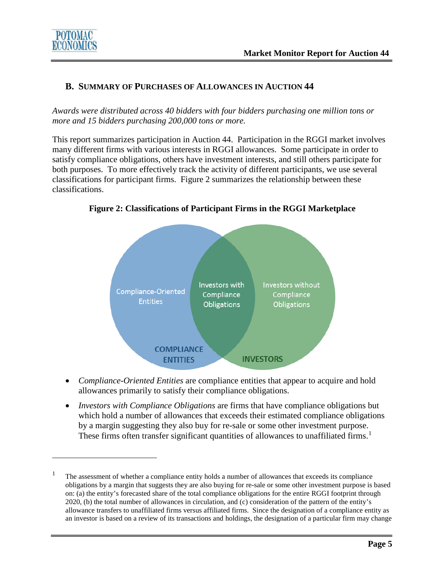

 $\overline{a}$ 

#### **B. SUMMARY OF PURCHASES OF ALLOWANCES IN AUCTION 44**

*Awards were distributed across 40 bidders with four bidders purchasing one million tons or more and 15 bidders purchasing 200,000 tons or more.*

This report summarizes participation in Auction 44. Participation in the RGGI market involves many different firms with various interests in RGGI allowances. Some participate in order to satisfy compliance obligations, others have investment interests, and still others participate for both purposes. To more effectively track the activity of different participants, we use several classifications for participant firms. Figure 2 summarizes the relationship between these classifications.



**Figure 2: Classifications of Participant Firms in the RGGI Marketplace**

- *Compliance-Oriented Entities* are compliance entities that appear to acquire and hold allowances primarily to satisfy their compliance obligations.
- *Investors with Compliance Obligations* are firms that have compliance obligations but which hold a number of allowances that exceeds their estimated compliance obligations by a margin suggesting they also buy for re-sale or some other investment purpose. These firms often transfer significant quantities of allowances to unaffiliated firms.<sup>[1](#page-6-0)</sup>

<span id="page-6-0"></span> $1$  The assessment of whether a compliance entity holds a number of allowances that exceeds its compliance obligations by a margin that suggests they are also buying for re-sale or some other investment purpose is based on: (a) the entity's forecasted share of the total compliance obligations for the entire RGGI footprint through 2020, (b) the total number of allowances in circulation, and (c) consideration of the pattern of the entity's allowance transfers to unaffiliated firms versus affiliated firms. Since the designation of a compliance entity as an investor is based on a review of its transactions and holdings, the designation of a particular firm may change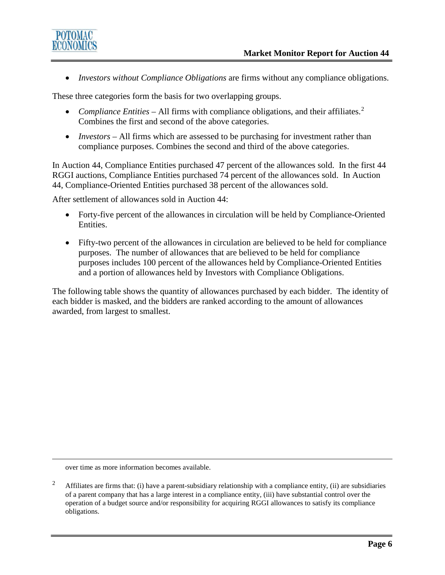

• *Investors without Compliance Obligations* are firms without any compliance obligations.

These three categories form the basis for two overlapping groups.

- *Compliance Entities* All firms with compliance obligations, and their affiliates.<sup>[2](#page-7-0)</sup> Combines the first and second of the above categories.
- *Investors* All firms which are assessed to be purchasing for investment rather than compliance purposes. Combines the second and third of the above categories.

In Auction 44, Compliance Entities purchased 47 percent of the allowances sold. In the first 44 RGGI auctions, Compliance Entities purchased 74 percent of the allowances sold. In Auction 44, Compliance-Oriented Entities purchased 38 percent of the allowances sold.

After settlement of allowances sold in Auction 44:

- Forty-five percent of the allowances in circulation will be held by Compliance-Oriented Entities.
- Fifty-two percent of the allowances in circulation are believed to be held for compliance purposes. The number of allowances that are believed to be held for compliance purposes includes 100 percent of the allowances held by Compliance-Oriented Entities and a portion of allowances held by Investors with Compliance Obligations.

The following table shows the quantity of allowances purchased by each bidder. The identity of each bidder is masked, and the bidders are ranked according to the amount of allowances awarded, from largest to smallest.

over time as more information becomes available.

 $\overline{a}$ 

<span id="page-7-0"></span><sup>&</sup>lt;sup>2</sup> Affiliates are firms that: (i) have a parent-subsidiary relationship with a compliance entity, (ii) are subsidiaries of a parent company that has a large interest in a compliance entity, (iii) have substantial control over the operation of a budget source and/or responsibility for acquiring RGGI allowances to satisfy its compliance obligations.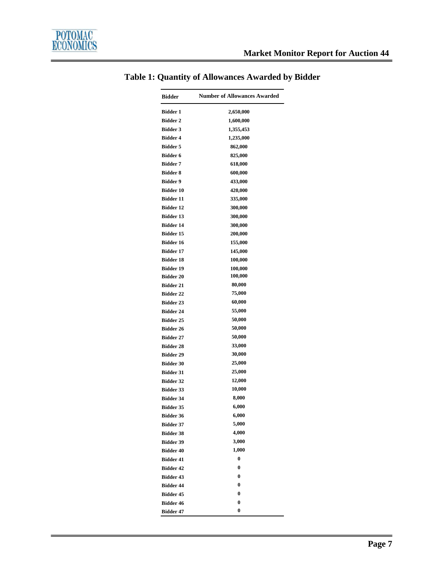| <b>Bidder</b>    | <b>Number of Allowances Awarded</b> |
|------------------|-------------------------------------|
| <b>Bidder 1</b>  | 2,650,000                           |
| <b>Bidder 2</b>  | 1,600,000                           |
| <b>Bidder 3</b>  | 1,355,453                           |
| <b>Bidder 4</b>  | 1,235,000                           |
| <b>Bidder 5</b>  | 862,000                             |
| <b>Bidder 6</b>  | 825,000                             |
| <b>Bidder 7</b>  | 618,000                             |
| <b>Bidder 8</b>  | 600,000                             |
| <b>Bidder 9</b>  | 433,000                             |
| <b>Bidder 10</b> | 420,000                             |
| <b>Bidder 11</b> | 335,000                             |
| <b>Bidder 12</b> | 300,000                             |
| <b>Bidder 13</b> | 300,000                             |
| <b>Bidder 14</b> | 300,000                             |
| Bidder 15        | 200,000                             |
| <b>Bidder 16</b> | 155,000                             |
| <b>Bidder 17</b> | 145,000                             |
| <b>Bidder 18</b> | 100,000                             |
| <b>Bidder 19</b> | 100,000                             |
| <b>Bidder 20</b> | 100,000                             |
| <b>Bidder 21</b> | 80,000                              |
| <b>Bidder 22</b> | 75,000                              |
| <b>Bidder 23</b> | 60,000                              |
| <b>Bidder 24</b> | 55,000                              |
| <b>Bidder 25</b> | 50,000                              |
| <b>Bidder 26</b> | 50,000                              |
| <b>Bidder 27</b> | 50,000                              |
| <b>Bidder 28</b> | 33,000                              |
| <b>Bidder 29</b> | 30,000                              |
| <b>Bidder 30</b> | 25,000                              |
| <b>Bidder 31</b> | 25,000                              |
| <b>Bidder 32</b> | 12,000                              |
| <b>Bidder 33</b> | 10,000                              |
| <b>Bidder 34</b> | 8,000                               |
| <b>Bidder 35</b> | 6,000                               |
| <b>Bidder 36</b> | 6,000                               |
| <b>Bidder 37</b> | 5,000                               |
| <b>Bidder 38</b> | 4,000                               |
| <b>Bidder 39</b> | 3,000                               |
| <b>Bidder 40</b> | 1,000                               |
| <b>Bidder 41</b> | $\bf{0}$                            |
| <b>Bidder 42</b> | $\bf{0}$                            |
| <b>Bidder 43</b> | $\bf{0}$                            |
| <b>Bidder 44</b> | 0                                   |
| <b>Bidder 45</b> | 0                                   |
| <b>Bidder 46</b> | 0                                   |
| <b>Bidder 47</b> | 0                                   |

### **Table 1: Quantity of Allowances Awarded by Bidder**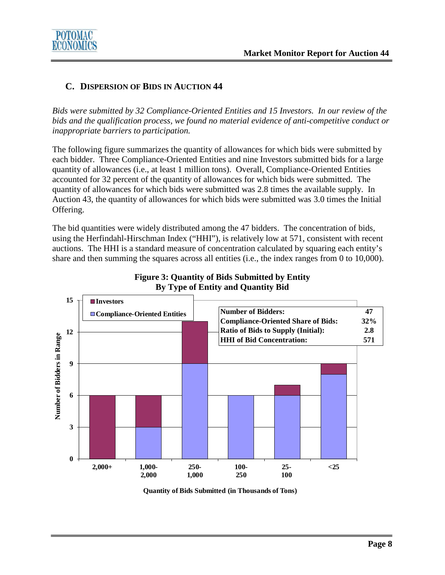

#### **C. DISPERSION OF BIDS IN AUCTION 44**

*Bids were submitted by 32 Compliance-Oriented Entities and 15 Investors. In our review of the bids and the qualification process, we found no material evidence of anti-competitive conduct or inappropriate barriers to participation.*

The following figure summarizes the quantity of allowances for which bids were submitted by each bidder. Three Compliance-Oriented Entities and nine Investors submitted bids for a large quantity of allowances (i.e., at least 1 million tons). Overall, Compliance-Oriented Entities accounted for 32 percent of the quantity of allowances for which bids were submitted. The quantity of allowances for which bids were submitted was 2.8 times the available supply. In Auction 43, the quantity of allowances for which bids were submitted was 3.0 times the Initial Offering.

The bid quantities were widely distributed among the 47 bidders. The concentration of bids, using the Herfindahl-Hirschman Index ("HHI"), is relatively low at 571, consistent with recent auctions. The HHI is a standard measure of concentration calculated by squaring each entity's share and then summing the squares across all entities (i.e., the index ranges from 0 to 10,000).



**Figure 3: Quantity of Bids Submitted by Entity By Type of Entity and Quantity Bid**

**Quantity of Bids Submitted (in Thousands of Tons)**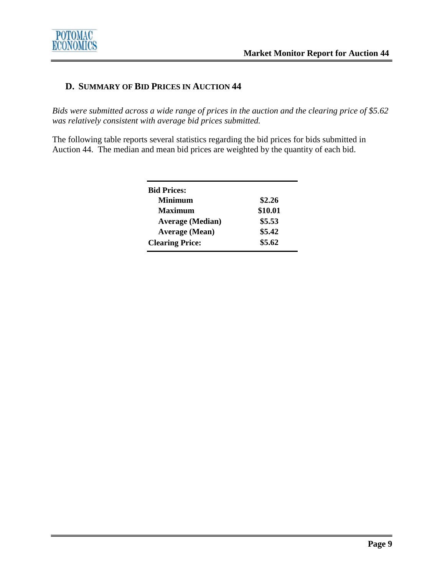

#### **D. SUMMARY OF BID PRICES IN AUCTION 44**

*Bids were submitted across a wide range of prices in the auction and the clearing price of \$5.62 was relatively consistent with average bid prices submitted.* 

The following table reports several statistics regarding the bid prices for bids submitted in Auction 44. The median and mean bid prices are weighted by the quantity of each bid.

| <b>Bid Prices:</b>      |         |
|-------------------------|---------|
| <b>Minimum</b>          | \$2.26  |
| <b>Maximum</b>          | \$10.01 |
| <b>Average (Median)</b> | \$5.53  |
| <b>Average (Mean)</b>   | \$5.42  |
| <b>Clearing Price:</b>  | \$5.62  |